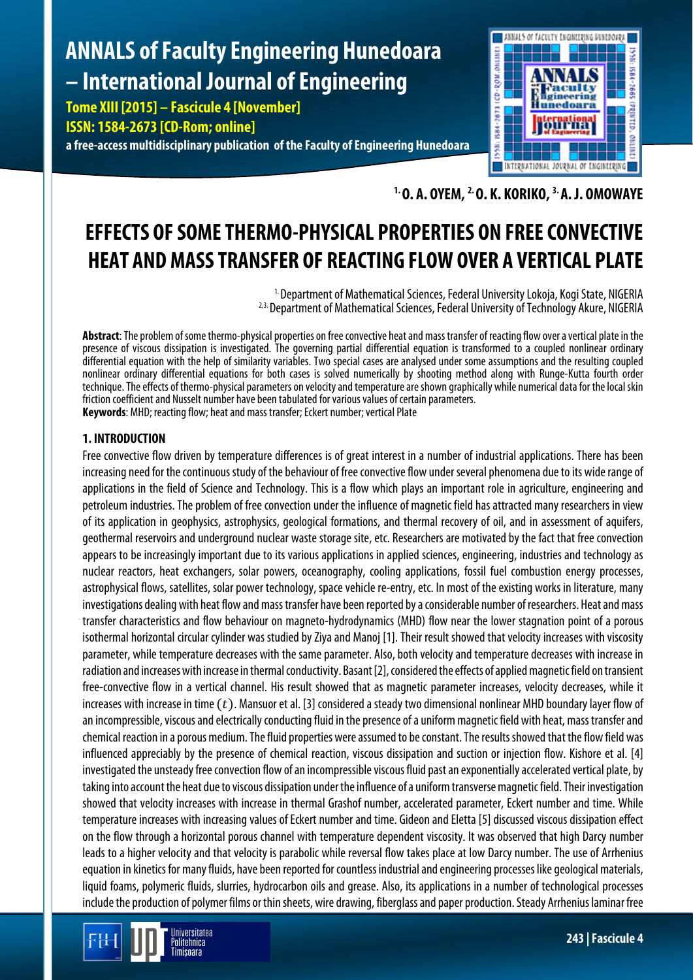# **ANNALS of Faculty Engineering Hunedoara – International Journal of Engineering**

**Tome XIII [2015] – Fascicule 4 [November] ISSN: 1584-2673 [CD-Rom; online] a free-access multidisciplinary publication of the Faculty of Engineering Hunedoara**



**1. O. A. OYEM, 2. O. K. KORIKO, 3. A. J. OMOWAYE**

# **EFFECTS OF SOME THERMO-PHYSICAL PROPERTIES ON FREE CONVECTIVE HEAT AND MASS TRANSFER OF REACTING FLOW OVER A VERTICAL PLATE**

<sup>1.</sup> Department of Mathematical Sciences, Federal University Lokoja, Kogi State, NIGERIA <sup>2,3.</sup> Department of Mathematical Sciences, Federal University of Technology Akure, NIGERIA

**Abstract**: The problem of some thermo-physical properties on free convective heat and mass transfer of reacting flow over a vertical plate in the presence of viscous dissipation is investigated. The governing partial differential equation is transformed to a coupled nonlinear ordinary differential equation with the help of similarity variables. Two special cases are analysed under some assumptions and the resulting coupled nonlinear ordinary differential equations for both cases is solved numerically by shooting method along with Runge-Kutta fourth order technique. The effects of thermo-physical parameters on velocity and temperature are shown graphically while numerical data for the local skin friction coefficient and Nusselt number have been tabulated for various values of certain parameters. **Keywords**: MHD; reacting flow; heat and mass transfer; Eckert number; vertical Plate

# **1. INTRODUCTION**

Free convective flow driven by temperature differences is of great interest in a number of industrial applications. There has been increasing need for the continuous study of the behaviour of free convective flow under several phenomena due to its wide range of applications in the field of Science and Technology. This is a flow which plays an important role in agriculture, engineering and petroleum industries. The problem of free convection under the influence of magnetic field has attracted many researchers in view of its application in geophysics, astrophysics, geological formations, and thermal recovery of oil, and in assessment of aquifers, geothermal reservoirs and underground nuclear waste storage site, etc. Researchers are motivated by the fact that free convection appears to be increasingly important due to its various applications in applied sciences, engineering, industries and technology as nuclear reactors, heat exchangers, solar powers, oceanography, cooling applications, fossil fuel combustion energy processes, astrophysical flows, satellites, solar power technology, space vehicle re-entry, etc. In most of the existing works in literature, many investigations dealing with heat flow and mass transfer have been reported by a considerable number of researchers. Heat and mass transfer characteristics and flow behaviour on magneto-hydrodynamics (MHD) flow near the lower stagnation point of a porous isothermal horizontal circular cylinder was studied by Ziya and Manoj [1]. Their result showed that velocity increases with viscosity parameter, while temperature decreases with the same parameter. Also, both velocity and temperature decreases with increase in radiation and increases with increase in thermal conductivity. Basant [2], considered the effects of applied magnetic field on transient free-convective flow in a vertical channel. His result showed that as magnetic parameter increases, velocity decreases, while it increases with increase in time  $(t)$ . Mansuor et al. [3] considered a steady two dimensional nonlinear MHD boundary layer flow of an incompressible, viscous and electrically conducting fluid in the presence of a uniform magnetic field with heat, mass transfer and chemical reaction in a porous medium. The fluid properties were assumed to be constant. The results showed that the flow field was influenced appreciably by the presence of chemical reaction, viscous dissipation and suction or injection flow. Kishore et al. [4] investigated the unsteady free convection flow of an incompressible viscous fluid past an exponentiallyaccelerated vertical plate, by taking into account the heat due to viscous dissipation under the influence of a uniform transverse magnetic field. Their investigation showed that velocity increases with increase in thermal Grashof number, accelerated parameter, Eckert number and time. While temperature increases with increasing values of Eckert number and time. Gideon and Eletta [5] discussed viscous dissipation effect on the flow through a horizontal porous channel with temperature dependent viscosity. It was observed that high Darcy number leads to a higher velocity and that velocity is parabolic while reversal flow takes place at low Darcy number. The use of Arrhenius equation in kinetics for many fluids, have been reported for countless industrial and engineering processes like geological materials, liquid foams, polymeric fluids, slurries, hydrocarbon oils and grease. Also, its applications in a number of technological processes include the production of polymer films or thin sheets, wire drawing, fiberglass and paper production. Steady Arrhenius laminar free

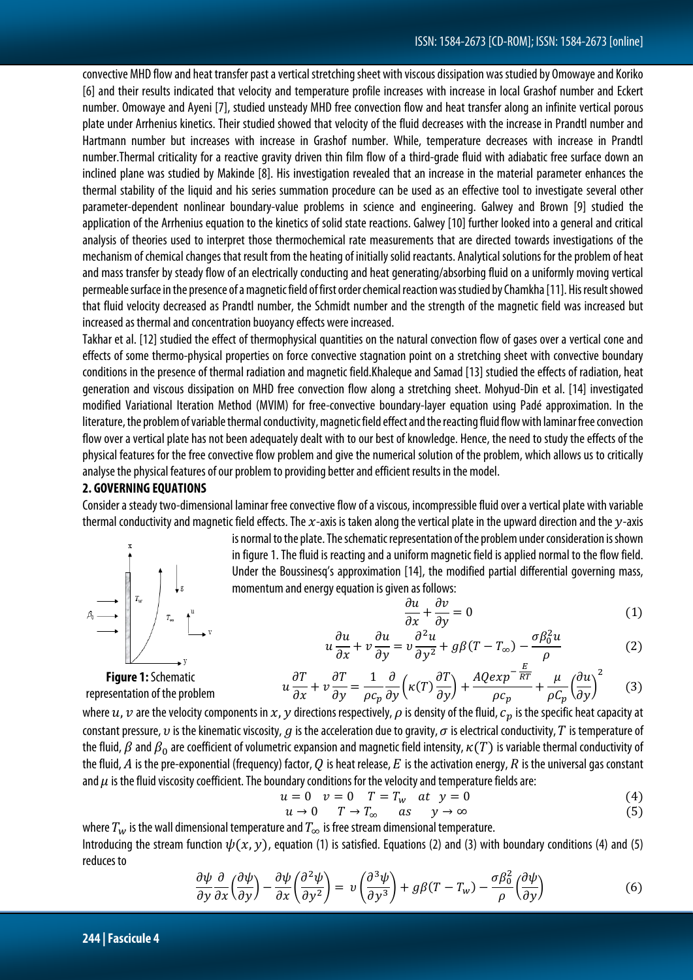convective MHD flow and heat transfer past a vertical stretching sheet with viscous dissipation was studied by Omowaye and Koriko [6] and their results indicated that velocity and temperature profile increases with increase in local Grashof number and Eckert number. Omowaye and Ayeni [7], studied unsteady MHD free convection flow and heat transfer along an infinite vertical porous plate under Arrhenius kinetics. Their studied showed that velocity of the fluid decreases with the increase in Prandtl number and Hartmann number but increases with increase in Grashof number. While, temperature decreases with increase in Prandtl number.Thermal criticality for a reactive gravity driven thin film flow of a third-grade fluid with adiabatic free surface down an inclined plane was studied by Makinde [8]. His investigation revealed that an increase in the material parameter enhances the thermal stability of the liquid and his series summation procedure can be used as an effective tool to investigate several other parameter-dependent nonlinear boundary-value problems in science and engineering. Galwey and Brown [9] studied the application of the Arrhenius equation to the kinetics of solid state reactions. Galwey [10] further looked into a general and critical analysis of theories used to interpret those thermochemical rate measurements that are directed towards investigations of the mechanism of chemical changes that result from the heating of initially solid reactants. Analytical solutions for the problem of heat and mass transfer by steady flow of an electrically conducting and heat generating/absorbing fluid on a uniformly moving vertical permeable surface in the presence of a magnetic field of first order chemical reaction was studied by Chamkha [11]. His result showed that fluid velocity decreased as Prandtl number, the Schmidt number and the strength of the magnetic field was increased but increased as thermal and concentration buoyancy effects were increased.

Takhar et al. [12] studied the effect of thermophysical quantities on the natural convection flow of gases over a vertical cone and effects of some thermo-physical properties on force convective stagnation point on a stretching sheet with convective boundary conditions in the presence of thermal radiation and magnetic field.Khaleque and Samad [13] studied the effects of radiation, heat generation and viscous dissipation on MHD free convection flow along a stretching sheet. Mohyud-Din et al. [14] investigated modified Variational Iteration Method (MVIM) for free-convective boundary-layer equation using Padé approximation. In the literature, the problem of variable thermal conductivity, magnetic field effect and the reacting fluid flow with laminar freeconvection flow over a vertical plate has not been adequately dealt with to our best of knowledge. Hence, the need to study the effects of the physical features for the free convective flow problem and give the numerical solution of the problem, which allows us to critically analyse the physical features of our problem to providing better and efficient results in the model.

#### **2. GOVERNING EQUATIONS**

Consider a steady two-dimensional laminar free convective flow of a viscous, incompressible fluid over a vertical plate with variable thermal conductivity and magnetic field effects. The  $x$ -axis is taken along the vertical plate in the upward direction and the  $y$ -axis



is normal to the plate. The schematic representation of the problem under consideration is shown in figure 1. The fluid is reacting and a uniform magnetic field is applied normal to the flow field. Under the Boussinesq's approximation [14], the modified partial differential governing mass, momentum and energy equation is given as follows:

$$
\frac{\partial u}{\partial x} + \frac{\partial v}{\partial y} = 0\tag{1}
$$

$$
u\frac{\partial u}{\partial x} + v\frac{\partial u}{\partial y} = v\frac{\partial^2 u}{\partial y^2} + g\beta(T - T_{\infty}) - \frac{\sigma\beta_0^2 u}{\rho}
$$
 (2)

**Figure 1:**Schematic

$$
u\frac{\partial T}{\partial x} + v\frac{\partial T}{\partial y} = \frac{1}{\rho c_p} \frac{\partial}{\partial y} \left( \kappa(T) \frac{\partial T}{\partial y} \right) + \frac{AQ \exp^{-\frac{E}{RT}}}{\rho c_p} + \frac{\mu}{\rho C_p} \left( \frac{\partial u}{\partial y} \right)^2 \tag{3}
$$

representation of the problem

where  $u$ ,  $v$  are the velocity components in  $x$ ,  $y$  directions respectively,  $\rho$  is density of the fluid,  $c_p$  is the specific heat capacity at constant pressure, v is the kinematic viscosity, q is the acceleration due to gravity,  $\sigma$  is electrical conductivity, T is temperature of the fluid,  $\beta$  and  $\beta_0$  are coefficient of volumetric expansion and magnetic field intensity,  $\kappa(T)$  is variable thermal conductivity of the fluid, A is the pre-exponential (frequency) factor, Q is heat release, E is the activation energy, R is the universal gas constant and  $\mu$  is the fluid viscosity coefficient. The boundary conditions for the velocity and temperature fields are:

$$
u = 0 \t v = 0 \t T = T_w \t at \t y = 0 \t (4)
$$

$$
u \to 0 \qquad T \to T_{\infty} \qquad as \qquad y \to \infty \tag{5}
$$

where  $T_w$  is the wall dimensional temperature and  $T_{\infty}$  is free stream dimensional temperature. Introducing the stream function  $\psi(x, y)$ , equation (1) is satisfied. Equations (2) and (3) with boundary conditions (4) and (5) reduces to

$$
\frac{\partial \psi}{\partial y} \frac{\partial}{\partial x} \left( \frac{\partial \psi}{\partial y} \right) - \frac{\partial \psi}{\partial x} \left( \frac{\partial^2 \psi}{\partial y^2} \right) = v \left( \frac{\partial^3 \psi}{\partial y^3} \right) + g \beta (T - T_w) - \frac{\sigma \beta_0^2}{\rho} \left( \frac{\partial \psi}{\partial y} \right)
$$
(6)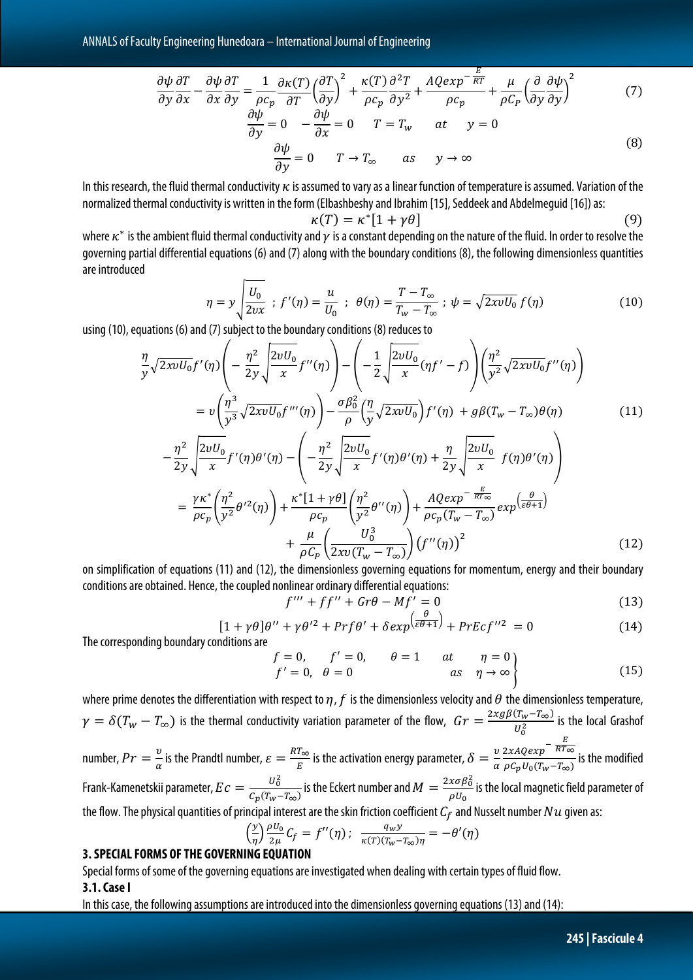ANNALS of Faculty Engineering Hunedoara – International Journal of Engineering

$$
\frac{\partial \psi}{\partial y} \frac{\partial T}{\partial x} - \frac{\partial \psi}{\partial x} \frac{\partial T}{\partial y} = \frac{1}{\rho c_p} \frac{\partial \kappa(T)}{\partial T} \left(\frac{\partial T}{\partial y}\right)^2 + \frac{\kappa(T)}{\rho c_p} \frac{\partial^2 T}{\partial y^2} + \frac{AQ \exp^{-\frac{E}{RT}}}{\rho c_p} + \frac{\mu}{\rho C_p} \left(\frac{\partial}{\partial y} \frac{\partial \psi}{\partial y}\right)^2 \tag{7}
$$

$$
\frac{\partial \psi}{\partial y} = 0 \quad -\frac{\partial \psi}{\partial x} = 0 \quad T = T_w \quad at \quad y = 0
$$
  

$$
\frac{\partial \psi}{\partial y} = 0 \quad T \to T_{\infty} \quad as \quad y \to \infty
$$
 (8)

In this research, the fluid thermal conductivity  $\kappa$  is assumed to vary as a linear function of temperature is assumed. Variation of the normalized thermal conductivity is written in the form (Elbashbeshy and Ibrahim [15], Seddeek and Abdelmeguid [16]) as:

$$
\kappa(T) = \kappa^* [1 + \gamma \theta] \tag{9}
$$

where  $\kappa^*$  is the ambient fluid thermal conductivity and  $\gamma$  is a constant depending on the nature of the fluid. In order to resolve the governing partial differential equations (6) and (7) along with the boundary conditions (8), the following dimensionless quantities are introduced

$$
\eta = y \sqrt{\frac{U_0}{2\nu x}} \; ; \; f'(\eta) = \frac{u}{U_0} \; ; \; \theta(\eta) = \frac{T - T_{\infty}}{T_w - T_{\infty}} \; ; \; \psi = \sqrt{2xvU_0} \; f(\eta) \tag{10}
$$

using (10), equations (6) and (7) subject to the boundary conditions (8) reduces to

$$
\frac{\eta}{y}\sqrt{2xvU_0}f'(\eta)\left(-\frac{\eta^2}{2y}\sqrt{\frac{2vU_0}{x}}f''(\eta)\right)-\left(-\frac{1}{2}\sqrt{\frac{2vU_0}{x}}(\eta f'-f)\right)\left(\frac{\eta^2}{y^2}\sqrt{2xvU_0}f''(\eta)\right) \n= v\left(\frac{\eta^3}{y^3}\sqrt{2xvU_0}f'''(\eta)\right)-\frac{\sigma\beta_0^2}{\rho}\left(\frac{\eta}{y}\sqrt{2xvU_0}\right)f'(\eta) + g\beta(T_w - T_\infty)\theta(\eta) \tag{11}
$$
\n
$$
-\frac{\eta^2}{2y}\sqrt{\frac{2vU_0}{x}}f'(\eta)\theta'(\eta) - \left(-\frac{\eta^2}{2y}\sqrt{\frac{2vU_0}{x}}f'(\eta)\theta'(\eta) + \frac{\eta}{2y}\sqrt{\frac{2vU_0}{x}}f(\eta)\theta'(\eta)\right) \n= \frac{\gamma\kappa^*}{\rho c_p}\left(\frac{\eta^2}{y^2}\theta'^2(\eta)\right) + \frac{\kappa^*[1+\gamma\theta]}{\rho c_p}\left(\frac{\eta^2}{y^2}\theta''(\eta)\right) + \frac{AQexp^{-\frac{E}{RT\infty}}}{\rho c_p(T_w - T_\infty)}exp(\frac{\theta}{\varepsilon\theta+1}) \n+ \frac{\mu}{\rho C_p}\left(\frac{U_0^3}{2xv(T_w - T_\infty)}\right)(f''(\eta))^2 \tag{12}
$$

on simplification of equations (11) and (12), the dimensionless governing equations for momentum, energy and their boundary conditions are obtained. Hence, the coupled nonlinear ordinary differential equations:

$$
f''' + ff'' + Gr\theta - Mf' = 0 \tag{13}
$$

$$
[1 + \gamma \theta]\theta'' + \gamma \theta'^2 + Prf\theta' + \delta exp(\frac{\theta}{\varepsilon \theta + 1}) + PrEcf''^2 = 0
$$
 (14)

The corresponding boundary conditions are

$$
f = 0, \t f' = 0, \t \theta = 1 \t at \t \eta = 0f' = 0, \t \theta = 0 \t as \t \eta \to \infty
$$
\n(15)

where prime denotes the differentiation with respect to  $\eta$ ,  $f$  is the dimensionless velocity and  $\theta$  the dimensionless temperature,  $\gamma=\delta(T_{w}-T_{\infty})$  is the thermal conductivity variation parameter of the flow,  $\;Gr=\frac{2xg\beta(T_{w}-T_{\infty})}{U_{0}^{2}}$  is the local Grashof number,  $Pr = \frac{v}{\alpha}$  is the Prandtl number,  $\varepsilon = \frac{RT_{\infty}}{E}$  is the activation energy parameter,  $\delta = \frac{v}{\alpha}$  $\frac{2xAQexp^{-\frac{E}{RT_{\infty}}}}{\rho C_p U_0(T_w-T_{\infty})}$  is the modified Frank-Kamenetskii parameter,  $Ec = \frac{U_0^2}{C_0(T_{\text{max}})}$  $\frac{U_0^2}{C_p(T_W-T_\infty)}$  is the Eckert number and  $M=\frac{2x\sigma\beta_0^2}{\rho U_0}$  $\overline{\rho U_0}$ is the local magnetic field parameter of the flow. The physical quantities of principal interest are the skin friction coefficient  $C_f$  and Nusselt number  $Nu$  given as:

$$
\left(\frac{y}{\eta}\right) \frac{\rho U_0}{2\mu} C_f = f''(\eta); \quad \frac{q_w y}{\kappa(T)(T_w - T_\infty)\eta} = -\theta'(\eta)
$$

### **3. SPECIAL FORMS OF THE GOVERNING EQUATION**

Special forms of some of the governing equations areinvestigated when dealing with certain types of fluid flow. **3.1. Case I**

In this case, the following assumptions are introduced into the dimensionless governing equations (13) and (14):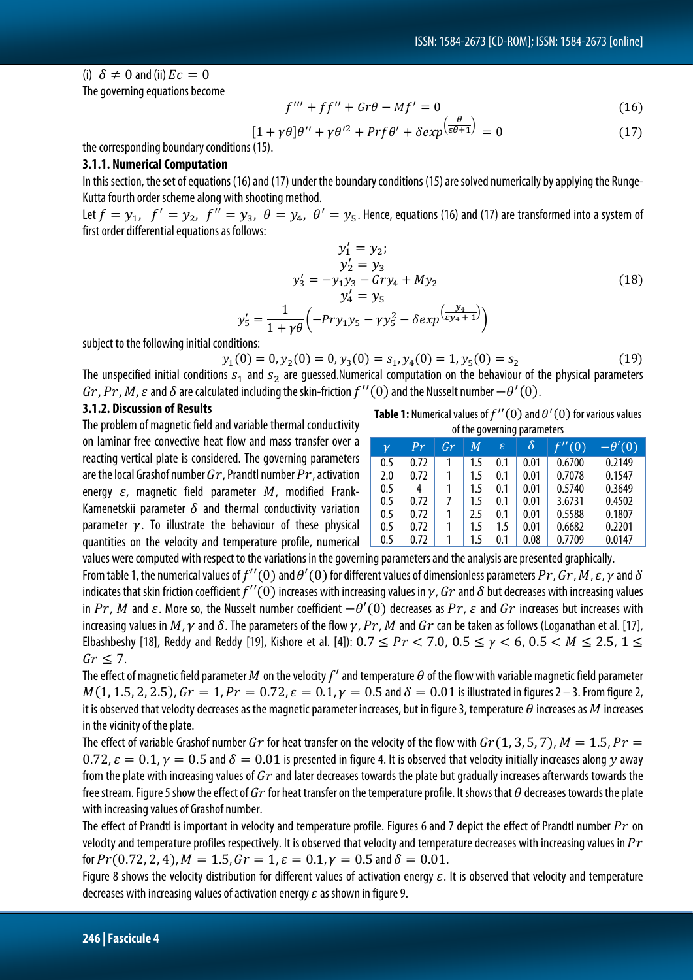#### (i)  $\delta \neq 0$  and (ii)  $Ec = 0$

The governing equations become

$$
f''' + ff'' + Gr\theta - Mf' = 0 \tag{16}
$$

$$
[1 + \gamma \theta]\theta'' + \gamma \theta'^2 + Prf\theta' + \delta exp(\frac{\theta}{\varepsilon \theta + 1}) = 0
$$
 (17)

the corresponding boundary conditions (15).

#### **3.1.1. Numerical Computation**

In this section, the set of equations (16) and (17) under the boundary conditions (15) are solved numerically by applying the Runge-Kutta fourth order scheme along with shooting method.

Let  $f = y_1$ ,  $f' = y_2$ ,  $f'' = y_3$ ,  $\theta = y_4$ ,  $\theta' = y_5$ . Hence, equations (16) and (17) are transformed into a system of first order differential equations as follows:

$$
y'_{1} = y_{2};
$$
  
\n
$$
y'_{2} = y_{3}
$$
  
\n
$$
y'_{3} = -y_{1}y_{3} - Gry_{4} + My_{2}
$$
  
\n
$$
y'_{4} = y_{5}
$$
  
\n
$$
y'_{5} = \frac{1}{1 + \gamma \theta} \left( -Pry_{1}y_{5} - \gamma y_{5}^{2} - \delta exp(\frac{y_{4}}{\epsilon y_{4} + 1}) \right)
$$
\n(18)

subject to the following initial conditions:

$$
y_1(0) = 0, y_2(0) = 0, y_3(0) = s_1, y_4(0) = 1, y_5(0) = s_2
$$
\n(19)

The unspecified initial conditions  $s_1$  and  $s_2$  are guessed.Numerical computation on the behaviour of the physical parameters  $Gr, Pr, M$ ,  $\varepsilon$  and  $\delta$  are calculated including the skin-friction  $f''(0)$  and the Nusselt number  $-\theta'(0)$ .

#### **3.1.2. Discussion of Results**

The problem of magnetic field and variable thermal conductivity on laminar free convective heat flow and mass transfer over a reacting vertical plate is considered. The governing parameters are the local Grashof number  $Gr$ , Prandtl number  $Pr$ , activation energy  $\varepsilon$ , magnetic field parameter  $M$ , modified Frank-Kamenetskii parameter  $\delta$  and thermal conductivity variation parameter  $\gamma$ . To illustrate the behaviour of these physical quantities on the velocity and temperature profile, numerical

 $\mathcal{Y}$ 

| <b>Table 1:</b> Numerical values of $f''(0)$ and $\theta'(0)$ for various values |  |  |  |  |  |  |
|----------------------------------------------------------------------------------|--|--|--|--|--|--|
| of the governing parameters                                                      |  |  |  |  |  |  |

| .<br>, r |      |               |     |     |          |        |               |
|----------|------|---------------|-----|-----|----------|--------|---------------|
| γ        | Pr   | $\mathbb{G}r$ | M   | ε   | $\delta$ | f''(0) | $-\theta'(0)$ |
| $0.5\,$  | 0.72 |               | 1.5 | 0.1 | 0.01     | 0.6700 | 0.2149        |
| 2.0      | 0.72 |               | 1.5 | 0.1 | 0.01     | 0.7078 | 0.1547        |
| $0.5\,$  | 4    |               | 1.5 | 0.1 | 0.01     | 0.5740 | 0.3649        |
| 0.5      | 0.72 |               | 1.5 | 0.1 | 0.01     | 3.6731 | 0.4502        |
| 0.5      | 0.72 |               | 2.5 | 0.1 | 0.01     | 0.5588 | 0.1807        |
| $0.5\,$  | 0.72 |               | 1.5 | 1.5 | 0.01     | 0.6682 | 0.2201        |
| 0.5      | 0.72 |               | 1.5 | 0.1 | 0.08     | 0.7709 | 0.0147        |

values were computed with respect to the variations in the governing parameters and the analysis are presented graphically. From table 1, the numerical values of  $f''(0)$  and  $\theta'(0)$  for different values of dimensionless parameters  $Pr$ ,  $Gr$ ,  $M$ ,  $\varepsilon$ ,  $\gamma$  and  $\delta$ indicates that skin friction coefficient  $f''(0)$  increases with increasing values in  $\gamma$ ,  $Gr$  and  $\delta$  but decreases with increasing values in  $Pr$ , M and  $\varepsilon$ . More so, the Nusselt number coefficient  $-\theta'(0)$  decreases as  $Pr$ ,  $\varepsilon$  and  $Gr$  increases but increases with increasing values in M,  $\gamma$  and  $\delta$ . The parameters of the flow  $\gamma$ ,  $Pr$ , M and  $Gr$  can be taken as follows (Loganathan et al. [17], Elbashbeshy [18], Reddy and Reddy [19], Kishore et al. [4]):  $0.7 \leq Pr < 7.0$ ,  $0.5 \leq \gamma < 6$ ,  $0.5 < M \leq 2.5$ ,  $1 \leq$  $Gr < 7$ .

The effect of magnetic field parameter M on the velocity  $f'$  and temperature  $\theta$  of the flow with variable magnetic field parameter  $M(1, 1.5, 2, 2.5)$ ,  $Gr = 1$ ,  $Pr = 0.72$ ,  $\varepsilon = 0.1$ ,  $\gamma = 0.5$  and  $\delta = 0.01$  is illustrated in figures 2 – 3. From figure 2, it is observed that velocity decreases as the magnetic parameter increases, but in figure 3, temperature  $\theta$  increases as  $M$  increases in the vicinity of the plate.

The effect of variable Grashof number Gr for heat transfer on the velocity of the flow with  $Gr(1, 3, 5, 7)$ ,  $M = 1.5$ ,  $Pr =$ 0.72,  $\varepsilon = 0.1$ ,  $\gamma = 0.5$  and  $\delta = 0.01$  is presented in figure 4. It is observed that velocity initially increases along y away from the plate with increasing values of  $Gr$  and later decreases towards the plate but gradually increases afterwards towards the free stream. Figure 5 show the effect of  $Gr$  for heat transfer on the temperature profile. It shows that  $\theta$  decreases towards the plate with increasing values of Grashof number.

The effect of Prandtl is important in velocity and temperature profile. Figures 6 and 7 depict the effect of Prandtl number  $Pr$  on velocity and temperature profiles respectively. It is observed that velocity and temperature decreases with increasing values in  $Pr$ for  $Pr(0.72, 2, 4)$ ,  $M = 1.5$ ,  $Gr = 1$ ,  $\varepsilon = 0.1$ ,  $\gamma = 0.5$  and  $\delta = 0.01$ .

Figure 8 shows the velocity distribution for different values of activation energy  $\varepsilon$ . It is observed that velocity and temperature decreases with increasing values of activation energy  $\varepsilon$  as shown in figure 9.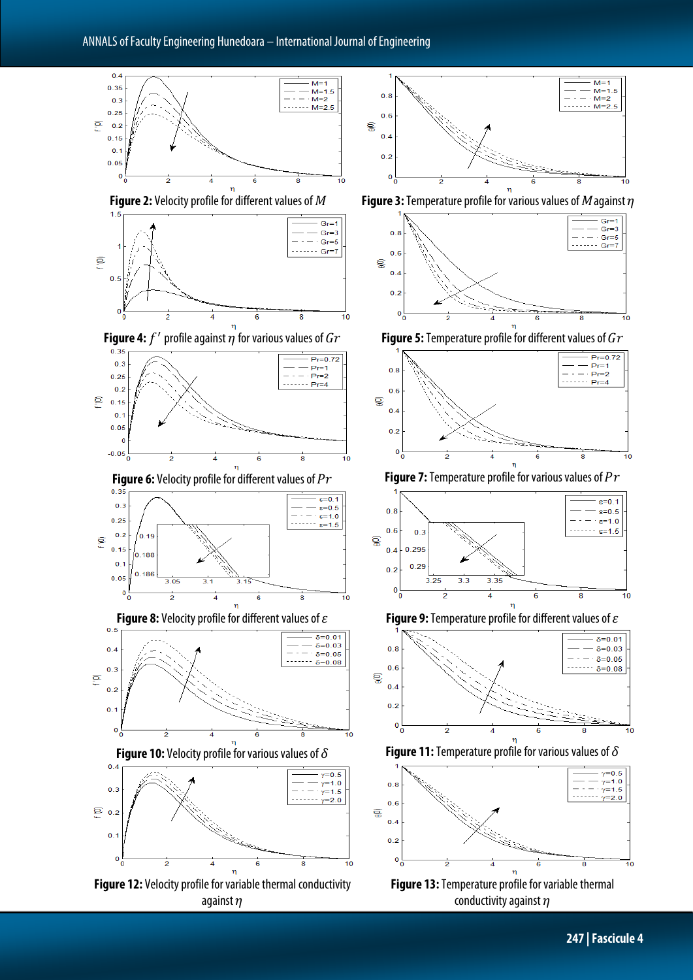

against  $\eta$ 

**247 | Fascicule 4**

 $= 0.5$ ,<br>γ=1.0

 $v=1.5$ 

.<br>γ=2.0

Ŧο

 $Gr =$ 

 $Gr=3$ 

10

 $10$ 

 $10$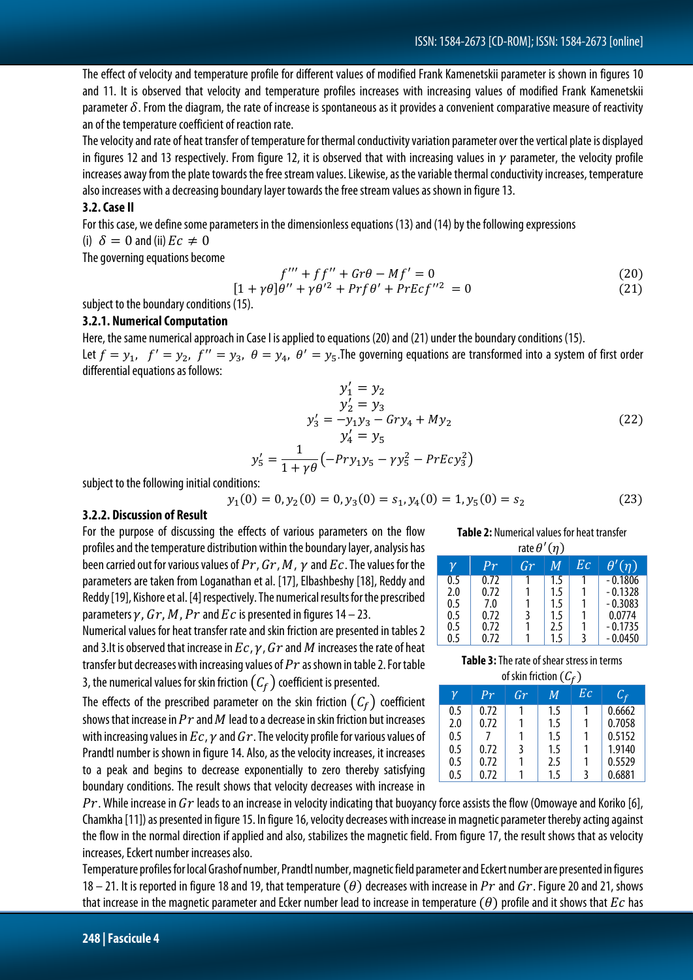The effect of velocity and temperature profile for different values of modified Frank Kamenetskii parameter is shown in figures 10 and 11. It is observed that velocity and temperature profiles increases with increasing values of modified Frank Kamenetskii parameter  $\delta$ . From the diagram, the rate of increase is spontaneous as it provides a convenient comparative measure of reactivity an of the temperature coefficient of reaction rate.

The velocity and rate of heat transfer of temperature for thermal conductivity variation parameter over the vertical plate isdisplayed in figures 12 and 13 respectively. From figure 12, it is observed that with increasing values in  $\gamma$  parameter, the velocity profile increases away from the plate towards the free stream values. Likewise, as the variable thermal conductivity increases, temperature also increases with a decreasing boundary layer towards the free stream values as shown in figure 13.

#### **3.2. Case II**

For this case, we define some parameters in the dimensionless equations (13) and (14) by the following expressions

#### (i)  $\delta = 0$  and (ii)  $Ec \neq 0$

The governing equations become

$$
f''' + ff'' + Gr\theta - Mf' = 0
$$
\n(20)

$$
[1 + \gamma \theta]\theta'' + \gamma \theta'^2 + Prf\theta' + PrEcf''^2 = 0 \tag{21}
$$

subject to the boundary conditions (15).

#### **3.2.1. Numerical Computation**

Here, the same numerical approach in Case I is applied to equations (20) and (21) under the boundary conditions (15). Let  $f = y_1$ ,  $f' = y_2$ ,  $f'' = y_3$ ,  $\theta = y_4$ ,  $\theta' = y_5$ . The governing equations are transformed into a system of first order differential equations as follows:

$$
y'_{1} = y_{2}
$$
  
\n
$$
y'_{2} = y_{3}
$$
  
\n
$$
y'_{3} = -y_{1}y_{3} - Gry_{4} + My_{2}
$$
  
\n
$$
y'_{4} = y_{5}
$$
  
\n
$$
y'_{5} = \frac{1}{1 + \gamma \theta} \left( -Pry_{1}y_{5} - \gamma y_{5}^{2} - PrEcy_{3}^{2} \right)
$$
\n(22)

subject to the following initial conditions:

$$
y_1(0) = 0, y_2(0) = 0, y_3(0) = s_1, y_4(0) = 1, y_5(0) = s_2
$$
\n(23)

#### **3.2.2. Discussion of Result**

For the purpose of discussing the effects of various parameters on the flow profiles and the temperature distribution within the boundary layer, analysis has been carried out for various values of  $Pr$ ,  $Gr$ ,  $M$ ,  $\gamma$  and  $Ec$ . The values for the parameters are taken from Loganathan et al. [17], Elbashbeshy [18], Reddy and Reddy [19], Kishore et al. [4] respectively. The numerical results for the prescribed parameters  $\gamma$ ,  $Gr$ ,  $M$ ,  $Pr$  and  $Ec$  is presented in figures 14 – 23.

Numerical values for heat transfer rate and skin friction are presented in tables 2 and 3.It is observed that increase in  $Ec, \gamma, Gr$  and M increases the rate of heat transfer but decreases with increasing values of  $Pr$  as shown in table 2. For table 3, the numerical values for skin friction  $(C_f)$  coefficient is presented.

The effects of the prescribed parameter on the skin friction  $(C_f)$  coefficient shows that increase in  $Pr$  and  $M$  lead to a decrease in skin friction but increases with increasing values in  $Ec$ ,  $v$  and  $Gr$ . The velocity profile for various values of Prandtl number is shown in figure 14. Also, as the velocity increases, it increases to a peak and begins to decrease exponentially to zero thereby satisfying boundary conditions. The result shows that velocity decreases with increase in

 $Pr$ . While increase in  $Gr$  leads to an increase in velocity indicating that buoyancy force assists the flow (Omowaye and Koriko [6], Chamkha [11]) as presented in figure 15. In figure 16, velocity decreases with increase in magnetic parameter thereby acting against the flow in the normal direction if applied and also, stabilizes the magnetic field. From figure 17, the result shows that as velocity increases, Eckert number increases also.

Temperature profiles for local Grashof number, Prandtl number, magnetic field parameter and Eckert number are presented in figures 18 – 21. It is reported in figure 18 and 19, that temperature ( $\theta$ ) decreases with increase in Pr and Gr. Figure 20 and 21, shows that increase in the magnetic parameter and Ecker number lead to increase in temperature  $(\theta)$  profile and it shows that  $Ec$  has

**Table 2:** Numerical values for heat transfer rate  $\theta'(\eta)$ 

| $\mathcal V$ | Pr   | Gr | М   | $E\epsilon$ | $\theta'(\eta)$ |
|--------------|------|----|-----|-------------|-----------------|
| 0.5          | 0.72 |    | 1.5 |             | $-0.1806$       |
| 2.0          | 0.72 |    | 1.5 |             | $-0.1328$       |
| 0.5          | 7.0  |    | 1.5 |             | $-0.3083$       |
| 0.5          | 0.72 |    | 1.5 |             | 0.0774          |
| 0.5          | 0.72 |    | 2.5 |             | $-0.1735$       |
| 0.5          | 0.72 |    | 1.5 |             | $-0.0450$       |

**Table 3:**The rate of shear stress in terms

of skin friction  $(C_{\epsilon})$ 

| .<br>$\sim$ |      |               |     |    |        |  |
|-------------|------|---------------|-----|----|--------|--|
| ν           | Pr   | $\mathbb{G}r$ | M   | Eс | C,     |  |
| 0.5         | 0.72 |               | 1.5 |    | 0.6662 |  |
| 2.0         | 0.72 |               | 1.5 |    | 0.7058 |  |
| 0.5         |      |               | 1.5 |    | 0.5152 |  |
| 0.5         | 0.72 | 3             | 1.5 |    | 1.9140 |  |
| 0.5         | 0.72 |               | 2.5 |    | 0.5529 |  |
| 0.5         | 0.72 |               | 1.5 |    | 0.6881 |  |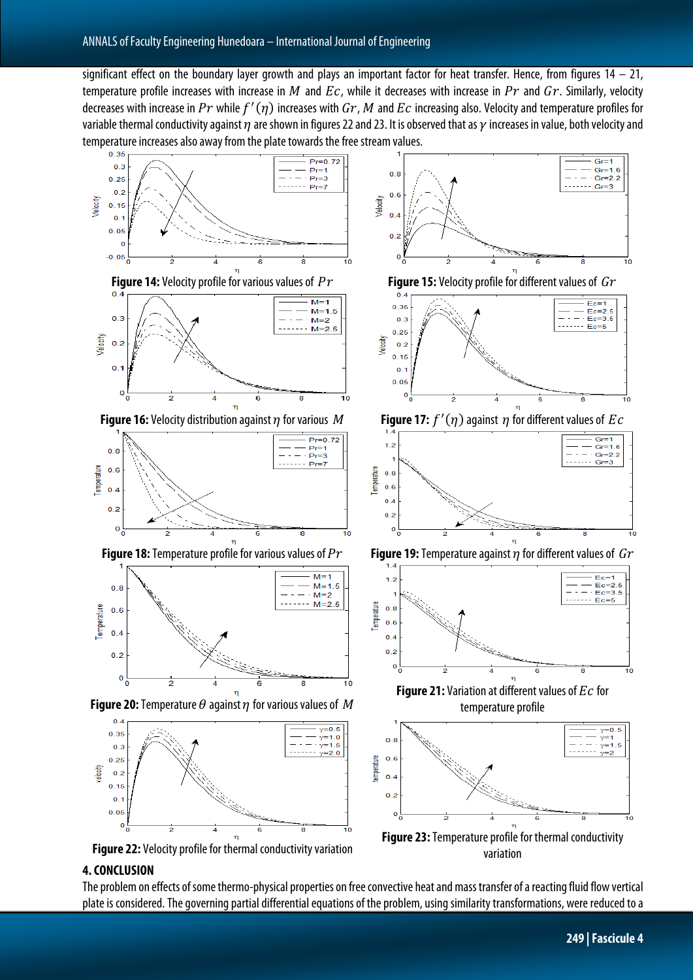significant effect on the boundary layer growth and plays an important factor for heat transfer. Hence, from figures  $14 - 21$ , temperature profile increases with increase in M and  $Ec$ , while it decreases with increase in  $Pr$  and  $Gr$ . Similarly, velocity decreases with increase in  $Pr$  while  $f'(\eta)$  increases with  $Gr$ ,  $M$  and  $Ec$  increasing also. Velocity and temperature profiles for variable thermal conductivity against  $\eta$  are shown in figures 22 and 23. It is observed that as  $\gamma$  increases in value, both velocity and temperature increases also away from the plate towards the free stream values.



## **4. CONCLUSION**

The problem on effects of some thermo-physical properties on free convective heat and mass transfer of a reacting fluid flow vertical plate is considered. The governing partial differential equations of the problem, using similarity transformations, were reduced to a

variation